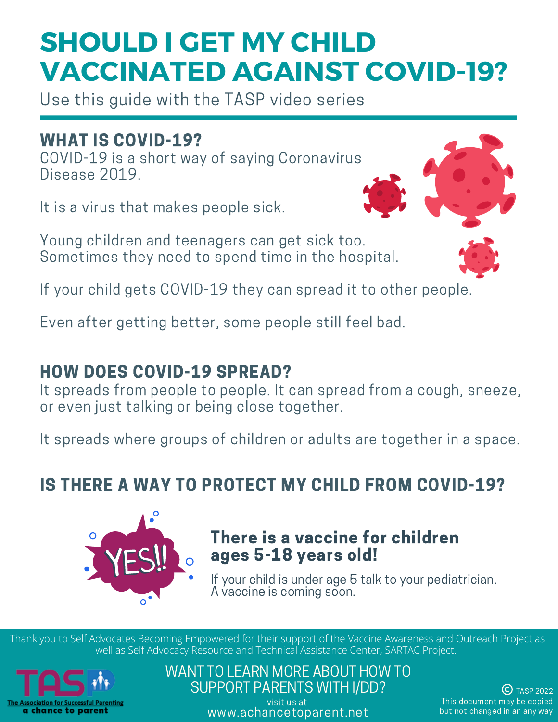Use this guide with the TASP video series

### WHAT IS COVID-19?

COVID-19 is a short way of saying Coronavirus Disease 2019.

It is a virus that makes people sick.

Young children and teenagers can get sick too. Sometimes they need to spend time in the hospital.



If your child gets COVID-19 they can spread it to other people.

Even after getting better, some people still feel bad.

### HOW DOES COVID-19 SPREAD?

It spreads from people to people. It can spread from a cough, sneeze, or even just talking or being close together.

It spreads where groups of children or adults are together in a space.

## IS THERE A WAY TO PROTECT MY CHILD FROM COVID-19?



### There is a vaccine for children ages 5-18 years old!

If your child is under age 5 talk to your pediatrician. A vaccine is coming soon.

Thank you to Self Advocates Becoming Empowered for their support of the Vaccine Awareness and Outreach Project as well as Self Advocacy Resource and Technical Assistance Center, SARTAC Project.



### WANT TO LEARN MORE ABOUT HOW TO SUPPORT PARENTS WITH I/DD?

visit us at [www.achancetoparent.net](http://www.achancetoparent.net/)

 $(C)$  TASP 2022 This document may be copied but not changed in an any way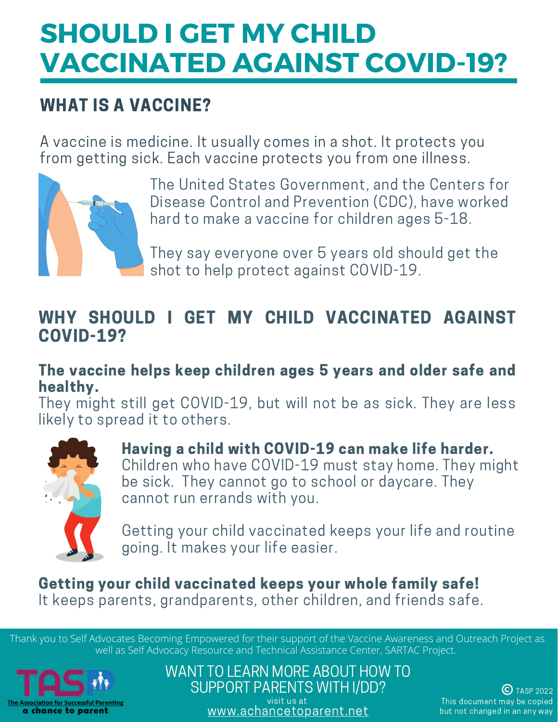## WHAT IS A VACCINE?

A vaccine is medicine. It usually comes in a shot. It protects you from getting sick. Each vaccine protects you from one illness.



The United States Government, and the Centers for Disease Control and Prevention (CDC), have worked hard to make a vaccine for children ages 5-18.

They say everyone over 5 years old should get the shot to help protect against COVID-19.

### WHY SHOULD I GET MY CHILD VACCINATED AGAINST COVID-19?

#### The vaccine helps keep children ages 5 years and older safe and healthy.

They might still get COVID-19, but will not be as sick. They are less likely to spread it to others.



#### Having a child with COVID-19 can make life harder. Children who have COVID-19 must stay home. They might be sick. They cannot go to school or daycare. They cannot run errands with you.

Getting your child vaccinated keeps your life and routine going. It makes your life easier.

#### Getting your child vaccinated keeps your whole family safe! It keeps parents, grandparents, other children, and friends safe.

Thank you to Self Advocates Becoming Empowered for their support of the Vaccine Awareness and Outreach Project as well as Self Advocacy Resource and Technical Assistance Center, SARTAC Project.



WANT TO LEARN MORE ABOUT HOW TO SUPPORT PARENTS WITH I/DD? visit us at

[www.achancetoparent.net](http://www.achancetoparent.net/)

 $(C)$  TASP 2022 This document may be copied but not changed in an any way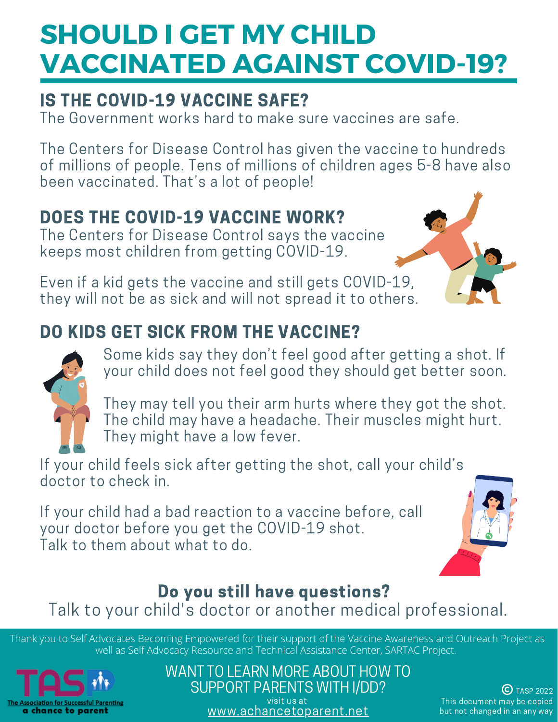# IS THE COVID-19 VACCINE SAFE?

The Government works hard to make sure vaccines are safe.

The Centers for Disease Control has given the vaccine to hundreds of millions of people. Tens of millions of children ages 5-8 have also been vaccinated. That's a lot of people!

# DOES THE COVID-19 VACCINE WORK?

The Centers for Disease Control says the vaccine keeps most children from getting COVID-19.

Even if a kid gets the vaccine and still gets COVID-19, they will not be as sick and will not spread it to others.



## DO KIDS GET SICK FROM THE VACCINE?



Some kids say they don't feel good after getting a shot. If your child does not feel good they should get better soon.

They may tell you their arm hurts where they got the shot. The child may have a headache. Their muscles might hurt. They might have a low fever.

If your child feels sick after getting the shot, call your child's doctor to check in.

If your child had a bad reaction to a vaccine before, call your doctor before you get the COVID-19 shot. Talk to them about what to do.



### Do you still have questions? Talk to your child's doctor or another medical professional.

Thank you to Self Advocates Becoming Empowered for their support of the Vaccine Awareness and Outreach Project as well as Self Advocacy Resource and Technical Assistance Center, SARTAC Project.



WANT TO LEARN MORE ABOUT HOW TO SUPPORT PARENTS WITH I/DD? visit us at [www.achancetoparent.net](http://www.achancetoparent.net/)

 $(C)$  TASP 2022 This document may be copied but not changed in an any way